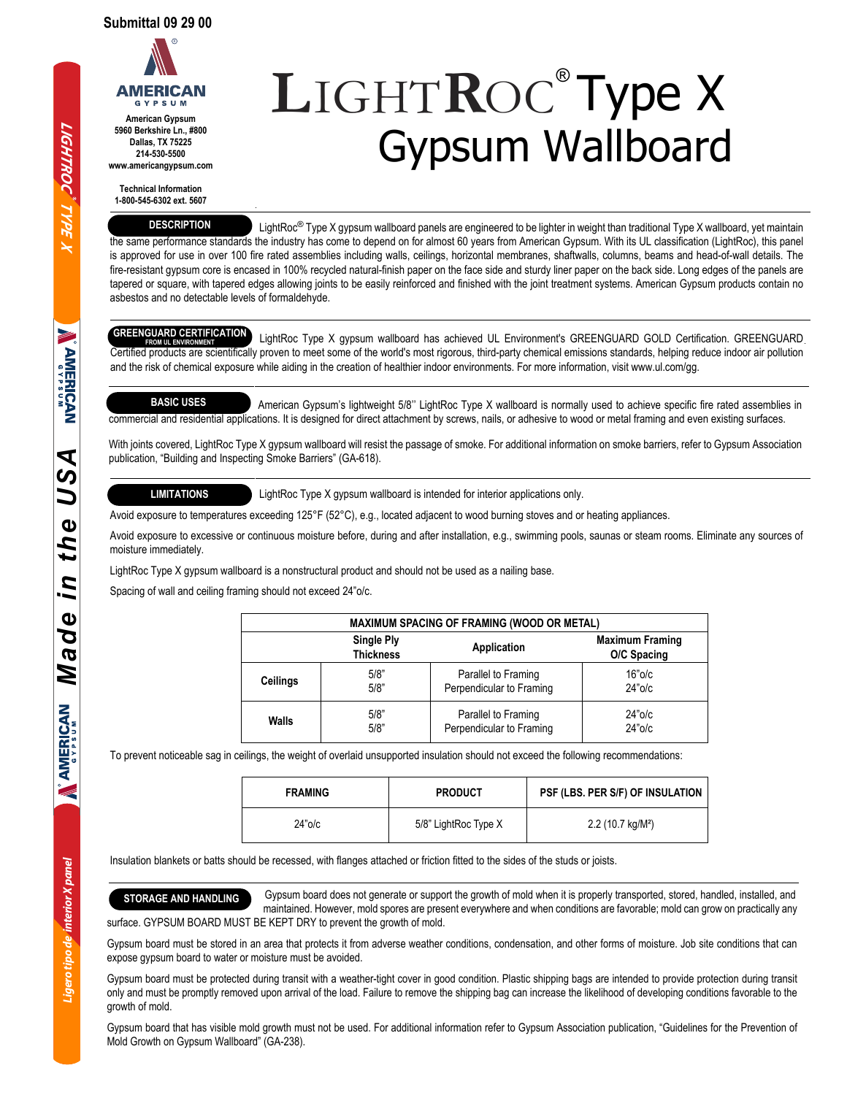

**5960 Berkshire Ln., #800 Dallas, TX 75225 214-530-5500 www.americangypsum.com**

**Technical Information 1-800-545-6302 ext. 5607**

#### **DESCRIPTION**

**L**IGHT**R**OC® Type X Gypsum Wallboard

LightRoc<sup>®</sup> Type X gypsum wallboard panels are engineered to be lighter in weight than traditional Type X wallboard, yet maintain the same performance standards the industry has come to depend on for almost 60 years from American Gypsum. With its UL classification (LightRoc), this panel is approved for use in over 100 fire rated assemblies including walls, ceilings, horizontal membranes, shaftwalls, columns, beams and head-of-wall details. The fire-resistant gypsum core is encased in 100% recycled natural-finish paper on the face side and sturdy liner paper on the back side. Long edges of the panels are tapered or square, with tapered edges allowing joints to be easily reinforced and finished with the joint treatment systems. American Gypsum products contain no asbestos and no detectable levels of formaldehyde.

# **GREENGUARD CERTIFICATION**

 LightRoc Type X gypsum wallboard has achieved UL Environment's GREENGUARD GOLD Certification. GREENGUARD Certified products are scientifically proven to meet some of the world's most rigorous, third-party chemical emissions standards, helping reduce indoor air pollution and the risk of chemical exposure while aiding in the creation of healthier indoor environments. For more information, visit www.ul.com/gg. **FROM UL ENVIRONMENT**

## **BASIC USES**

 American Gypsum's lightweight 5/8'' LightRoc Type X wallboard is normally used to achieve specific fire rated assemblies in commercial and residential applications. It is designed for direct attachment by screws, nails, or adhesive to wood or metal framing and even existing surfaces.

With joints covered, LightRoc Type X gypsum wallboard will resist the passage of smoke. For additional information on smoke barriers, refer to Gypsum Association publication, "Building and Inspecting Smoke Barriers" (GA-618).

## **LIMITATIONS**

LightRoc Type X gypsum wallboard is intended for interior applications only.

Avoid exposure to temperatures exceeding 125°F (52°C), e.g., located adjacent to wood burning stoves and or heating appliances.

Avoid exposure to excessive or continuous moisture before, during and after installation, e.g., swimming pools, saunas or steam rooms. Eliminate any sources of moisture immediately.

LightRoc Type X gypsum wallboard is a nonstructural product and should not be used as a nailing base.

Spacing of wall and ceiling framing should not exceed 24"o/c.

| <b>MAXIMUM SPACING OF FRAMING (WOOD OR METAL)</b> |                                       |                          |                                       |  |  |  |
|---------------------------------------------------|---------------------------------------|--------------------------|---------------------------------------|--|--|--|
|                                                   | <b>Single Ply</b><br><b>Thickness</b> | Application              | <b>Maximum Framing</b><br>O/C Spacing |  |  |  |
| Ceilings                                          | 5/8"                                  | Parallel to Framing      | $16"$ o/c                             |  |  |  |
|                                                   | 5/8"                                  | Perpendicular to Framing | $24"$ o/c                             |  |  |  |
| Walls                                             | 5/8"                                  | Parallel to Framing      | $24"$ o/c                             |  |  |  |
|                                                   | 5/8"                                  | Perpendicular to Framing | $24"$ o/c                             |  |  |  |

To prevent noticeable sag in ceilings, the weight of overlaid unsupported insulation should not exceed the following recommendations:

| <b>FRAMING</b> | <b>PRODUCT</b>       | PSF (LBS. PER S/F) OF INSULATION |  |
|----------------|----------------------|----------------------------------|--|
| $24"$ o/c      | 5/8" LightRoc Type X | 2.2(10.7 kg/M <sup>2</sup> )     |  |

Insulation blankets or batts should be recessed, with flanges attached or friction fitted to the sides of the studs or joists.

**STORAGE AND HANDLING** Gypsum board does not generate or support the growth of mold when it is properly transported, stored, handled, installed, and maintained. However, mold spores are present everywhere and when conditions are favorable; mold can grow on practically any surface. GYPSUM BOARD MUST BE KEPT DRY to prevent the growth of mold.

Gypsum board must be stored in an area that protects it from adverse weather conditions, condensation, and other forms of moisture. Job site conditions that can expose gypsum board to water or moisture must be avoided.

Gypsum board must be protected during transit with a weather-tight cover in good condition. Plastic shipping bags are intended to provide protection during transit only and must be promptly removed upon arrival of the load. Failure to remove the shipping bag can increase the likelihood of developing conditions favorable to the growth of mold.

Gypsum board that has visible mold growth must not be used. For additional information refer to Gypsum Association publication, "Guidelines for the Prevention of Mold Growth on Gypsum Wallboard" (GA-238).